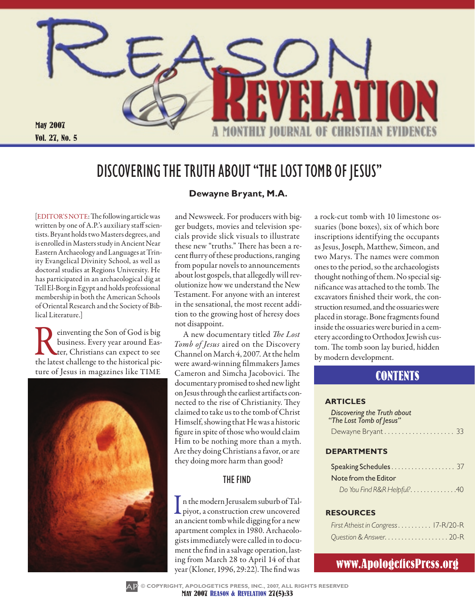

# DISCOVERING THE TRUTH ABOUT "THE LOST TOMB OF JESUS"

[EDITOR'S NOTE: The following article was written by one of A.P.'s auxiliary staff scientists. Bryant holds two Masters degrees, and is enrolled in Masters study in Ancient Near Eastern Archaeology and Languages at Trinity Evangelical Divinity School, as well as doctoral studies at Regions University. He has participated in an archaeological dig at Tell El-Borg in Egypt and holds professional membership in both the American Schools of Oriental Research and the Society of Biblical Literature.]

Fe dinventing the Son of God is big<br>business. Every year around Eas-<br>the latest challenge to the historical picbusiness. Every year around Easter, Christians can expect to see ture of Jesus in magazines like TIME



### **Dewayne Bryant, M.A.**

and Newsweek. For producers with bigger budgets, movies and television specials provide slick visuals to illustrate these new "truths." There has been a recent flurry of these productions, ranging from popular novels to announcements about lost gospels, that allegedly will revolutionize how we understand the New Testament. For anyone with an interest in the sensational, the most recent addition to the growing host of heresy does not disappoint.

A new documentary titled *The Lost Tomb of Jesus* aired on the Discovery Channel on March 4, 2007. At the helm were award-winning filmmakers James Cameron and Simcha Jacobovici. The documentary promised to shed new light on Jesus through the earliest artifacts connected to the rise of Christianity. They claimed to take us to the tomb of Christ Himself, showing that He was a historic figure in spite of those who would claim Him to be nothing more than a myth. Are they doing Christians a favor, or are they doing more harm than good?

### **THE FIND**

In the modern Jerusalem suburb of Talpiyot, a construction crew uncovered an ancient tomb while digging for a new apartment complex in 1980. Archaeologists immediately were called in to document the find in a salvage operation, lasting from March 28 to April 14 of that year (Kloner, 1996, 29:22). The find was

a rock-cut tomb with 10 limestone ossuaries (bone boxes), six of which bore inscriptions identifying the occupants as Jesus, Joseph, Matthew, Simeon, and two Marys. The names were common ones to the period, so the archaeologists thought nothing of them. No special significance was attached to the tomb. The excavators finished their work, the construction resumed, and the ossuaries were placed in storage. Bone fragments found inside the ossuaries were buried in a cemetery according to Orthodox Jewish custom. The tomb soon lay buried, hidden by modern development.

## **CONTENTS**

#### **Articles**

| <b>Discovering the Truth about</b><br>"The Lost Tomb of Jesus" |  |
|----------------------------------------------------------------|--|
| Dewayne Bryant 33                                              |  |

### **Departments**

| Note from the Editor       |
|----------------------------|
| Do You Find R&R Helpful?40 |

### **Resources**

| First Atheist in Congress 17-R/20-R |  |
|-------------------------------------|--|
| Question & Answer. 20-R             |  |

# www.ApologeticsPress.org



**MAY 2007 REASON & REVELATION 27(5):33 © COPYRIGHT, APOLOGETICS PRESS, INC., 2007, ALL RIGHTS RESERVED**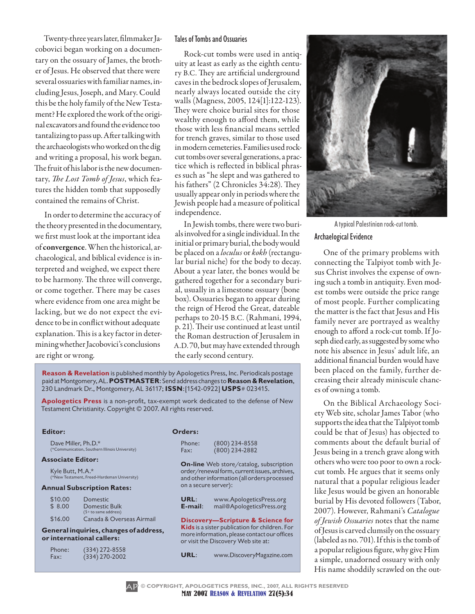Twenty-three years later, filmmaker Jacobovici began working on a documentary on the ossuary of James, the brother of Jesus. He observed that there were several ossuaries with familiar names, including Jesus, Joseph, and Mary. Could this be the holy family of the New Testament? He explored the work of the original excavators and found the evidence too tantalizing to pass up. After talking with the archaeologists who worked on the dig and writing a proposal, his work began. The fruit of his labor is the new documentary, *The Lost Tomb of Jesus*, which features the hidden tomb that supposedly contained the remains of Christ.

In order to determine the accuracy of the theory presented in the documentary, we first must look at the important idea of convergence. When the historical, archaeological, and biblical evidence is interpreted and weighed, we expect there to be harmony. The three will converge, or come together. There may be cases where evidence from one area might be lacking, but we do not expect the evidence to be in conflict without adequate explanation. This is a key factor in determining whether Jacobovici's conclusions are right or wrong.

### Tales of Tombs and Ossuaries

Rock-cut tombs were used in antiquity at least as early as the eighth century B.C. They are artificial underground caves in the bedrock slopes of Jerusalem, nearly always located outside the city walls (Magness, 2005, 124[1]:122-123). They were choice burial sites for those wealthy enough to afford them, while those with less financial means settled for trench graves, similar to those used in modern cemeteries. Families used rockcut tombs over several generations, a practice which is reflected in biblical phrases such as "he slept and was gathered to his fathers" (2 Chronicles 34:28). They usually appear only in periods where the Jewish people had a measure of political independence.

In Jewish tombs, there were two burials involved for a single individual. In the initial or primary burial, the body would be placed on a *loculus* or *kokh* (rectangular burial niche) for the body to decay. About a year later, the bones would be gathered together for a secondary burial, usually in a limestone ossuary (bone box). Ossuaries began to appear during the reign of Herod the Great, dateable perhaps to 20-15 B.C. (Rahmani, 1994, p. 21). Their use continued at least until the Roman destruction of Jerusalem in A.D.70, but may have extended through the early second century.

**Reason & Revelation** is published monthly by Apologetics Press, Inc. Periodicals postage paid at Montgomery, AL. **Postmaster**: Send address changes to **Reason & Revelation**, 230 Landmark Dr., Montgomery, AL 36117; **issn**:[1542-0922] **usps**# 023415.

**Apologetics Press** is a non-profit, tax-exempt work dedicated to the defense of New Testament Christianity. Copyright © 2007. All rights reserved.

### **Editor:**

Dave Miller, Ph.D.\* (\*Communication, Southern Illinois University)

#### **Associate Editor:**

Kyle Butt, M.A.\* (\*New Testament, Freed-Hardeman University)

#### **Annual Subscription Rates:**

| \$10.00 | Domestic                  |
|---------|---------------------------|
| \$8.00  | Domestic Bulk             |
|         | $(5 +$ to same address)   |
| \$16.00 | Canada & Overseas Airmail |

#### **General inquiries, changes of address, or international callers:**

| Phone: | $(334)$ 272-8558 |
|--------|------------------|
| Fax:   | $(334)$ 270-2002 |

|  | rder | . .<br>-- |
|--|------|-----------|
|--|------|-----------|

| Phone: | $(800)$ 234-8558 |
|--------|------------------|
| Fax:   | $(800)$ 234-2882 |

**On-line** Web store/catalog, subscription order/renewal form, current issues, archives, and other information (all orders processed on a secure server):

**URL:** www.ApologeticsPress.org<br>**E-mail:** mail@ApologeticsPress.org **E-mail**: mail@ApologeticsPress.org

**Discovery—Scripture & Science for Kids** is a sister publication for children. For more information, please contact our offices or visit the Discovery Web site at:

**URL**: www.DiscoveryMagazine.com



A typical Palestinian rock-cut tomb.

### Archaelogical Evidence

One of the primary problems with connecting the Talpiyot tomb with Jesus Christ involves the expense of owning such a tomb in antiquity. Even modest tombs were outside the price range of most people. Further complicating the matter is the fact that Jesus and His family never are portrayed as wealthy enough to afford a rock-cut tomb. If Joseph died early, as suggested by some who note his absence in Jesus' adult life, an additional financial burden would have been placed on the family, further decreasing their already miniscule chances of owning a tomb.

On the Biblical Archaeology Society Web site, scholar James Tabor (who supports the idea that the Talpiyot tomb could be that of Jesus) has objected to comments about the default burial of Jesus being in a trench grave along with others who were too poor to own a rockcut tomb. He argues that it seems only natural that a popular religious leader like Jesus would be given an honorable burial by His devoted followers (Tabor, 2007). However, Rahmani's *Catalogue of Jewish Ossuaries* notes that the name of Jesus is carved clumsily on the ossuary (labeled as no. 701). If this is the tomb of a popular religious figure, why give Him a simple, unadorned ossuary with only His name shoddily scrawled on the out-

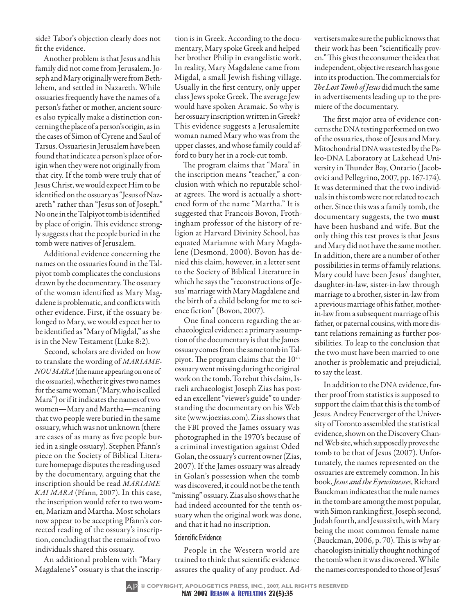side? Tabor's objection clearly does not fit the evidence.

Another problem is that Jesus and his family did not come from Jerusalem. Joseph and Mary originally were from Bethlehem, and settled in Nazareth. While ossuaries frequently have the names of a person's father or mother, ancient sources also typically make a distinction concerning the place of a person's origin, as in the cases of Simon of Cyrene and Saul of Tarsus. Ossuaries in Jerusalem have been found that indicate a person's place of origin when they were not originally from that city. If the tomb were truly that of Jesus Christ, we would expect Him to be identified on the ossuary as "Jesus of Nazareth" rather than "Jesus son of Joseph." No one in the Talpiyot tomb is identified by place of origin. This evidence strongly suggests that the people buried in the tomb were natives of Jerusalem.

Additional evidence concerning the names on the ossuaries found in the Talpiyot tomb complicates the conclusions drawn by the documentary. The ossuary of the woman identified as Mary Magdalene is problematic, and conflicts with other evidence. First, if the ossuary belonged to Mary, we would expect her to be identified as "Mary of Migdal," as she is in the New Testament (Luke 8:2).

Second, scholars are divided on how to translate the wording of *MARIAME-NOU MARA* (the name appearing on one of the ossuaries), whether it gives two names for the same woman ("Mary, who is called Mara") or if it indicates the names of two women—Mary and Martha—meaning that two people were buried in the same ossuary, which was not unknown (there are cases of as many as five people buried in a single ossuary). Stephen Pfann's piece on the Society of Biblical Literature homepage disputes the reading used by the documentary, arguing that the inscription should be read *MARIAME KAI MARA* (Pfann, 2007). In this case, the inscription would refer to two women, Mariam and Martha. Most scholars now appear to be accepting Pfann's corrected reading of the ossuary's inscription, concluding that the remains of two individuals shared this ossuary.

An additional problem with "Mary Magdalene's" ossuary is that the inscrip-

tion is in Greek. According to the documentary, Mary spoke Greek and helped her brother Philip in evangelistic work. In reality, Mary Magdalene came from Migdal, a small Jewish fishing village. Usually in the first century, only upper class Jews spoke Greek. The average Jew would have spoken Aramaic. So why is her ossuary inscription written in Greek? This evidence suggests a Jerusalemite woman named Mary who was from the upper classes, and whose family could afford to bury her in a rock-cut tomb.

The program claims that "Mara" in the inscription means "teacher," a conclusion with which no reputable scholar agrees. The word is actually a shortened form of the name "Martha." It is suggested that Francois Bovon, Frothingham professor of the history of religion at Harvard Divinity School, has equated Mariamne with Mary Magdalene (Desmond, 2000). Bovon has denied this claim, however, in a letter sent to the Society of Biblical Literature in which he says the "reconstructions of Jesus' marriage with Mary Magdalene and the birth of a child belong for me to science fiction" (Bovon, 2007).

One final concern regarding the archaeological evidence: a primary assumption of the documentary is that the James ossuary comes from the same tomb in Talpiyot. The program claims that the  $10<sup>th</sup>$ ossuary went missing during the original work on the tomb. To rebut this claim, Israeli archaeologist Joseph Zias has posted an excellent "viewer's guide" to understanding the documentary on his Web site (www.joezias.com). Zias shows that the FBI proved the James ossuary was photographed in the 1970's because of a criminal investigation against Oded Golan, the ossuary's current owner (Zias, 2007). If the James ossuary was already in Golan's possession when the tomb was discovered, it could not be the tenth "missing" ossuary. Zias also shows that he had indeed accounted for the tenth ossuary when the original work was done, and that it had no inscription.

### Scientific Evidence

People in the Western world are trained to think that scientific evidence assures the quality of any product. Ad-

vertisers make sure the public knows that their work has been "scientifically proven." This gives the consumer the idea that independent, objective research has gone into its production. The commercials for *The Lost Tomb of Jesus* did much the same in advertisements leading up to the premiere of the documentary.

The first major area of evidence concerns the DNA testing performed on two of the ossuaries, those of Jesus and Mary. Mitochondrial DNA was tested by the Paleo-DNA Laboratory at Lakehead University in Thunder Bay, Ontario (Jacobovici and Pellegrino, 2007, pp. 167-174). It was determined that the two individuals in this tomb were not related to each other. Since this was a family tomb, the documentary suggests, the two must have been husband and wife. But the only thing this test proves is that Jesus and Mary did not have the same mother. In addition, there are a number of other possibilities in terms of family relations. Mary could have been Jesus' daughter, daughter-in-law, sister-in-law through marriage to a brother, sister-in-law from a previous marriage of his father, motherin-law from a subsequent marriage of his father, or paternal cousins, with more distant relations remaining as further possibilities. To leap to the conclusion that the two must have been married to one another is problematic and prejudicial, to say the least.

In addition to the DNA evidence, further proof from statistics is supposed to support the claim that this is the tomb of Jesus. Andrey Feuerverger of the University of Toronto assembled the statistical evidence, shown on the Discovery Channel Web site, which supposedly proves the tomb to be that of Jesus (2007). Unfortunately, the names represented on the ossuaries are extremely common. In his book, *Jesus and the Eyewitnesses*, Richard Bauckman indicates that the male names in the tomb are among the most popular, with Simon ranking first, Joseph second, Judah fourth, and Jesus sixth, with Mary being the most common female name (Bauckman, 2006, p. 70). This is why archaeologists initially thought nothing of the tomb when it was discovered. While the names corresponded to those of Jesus'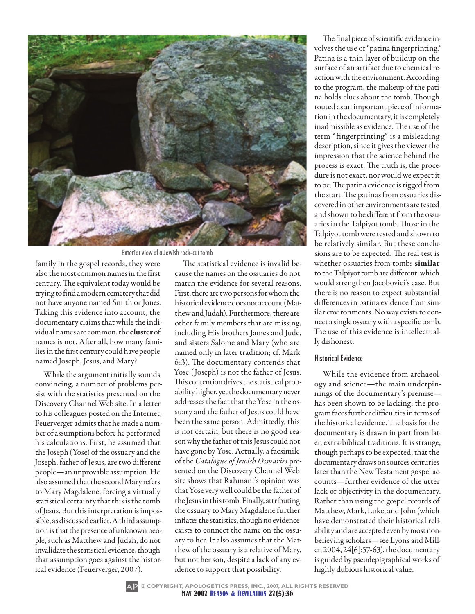

Exterior view of a Jewish rock-cut tomb

family in the gospel records, they were also the most common names in the first century. The equivalent today would be trying to find a modern cemetery that did not have anyone named Smith or Jones. Taking this evidence into account, the documentary claims that while the individual names are common, the cluster of names is not. After all, how many families in the first century could have people named Joseph, Jesus, and Mary?

While the argument initially sounds convincing, a number of problems persist with the statistics presented on the Discovery Channel Web site. In a letter to his colleagues posted on the Internet, Feuerverger admits that he made a number of assumptions before he performed his calculations. First, he assumed that the Joseph (Yose) of the ossuary and the Joseph, father of Jesus, are two different people—an unprovable assumption. He also assumed that the second Mary refers to Mary Magdalene, forcing a virtually statistical certainty that this is the tomb of Jesus. But this interpretation is impossible, as discussed earlier. A third assumption is that the presence of unknown people, such as Matthew and Judah, do not invalidate the statistical evidence, though that assumption goes against the historical evidence (Feuerverger, 2007).

The statistical evidence is invalid because the names on the ossuaries do not match the evidence for several reasons. First, there are two persons for whom the historical evidence does not account (Matthew and Judah). Furthermore, there are other family members that are missing, including His brothers James and Jude, and sisters Salome and Mary (who are named only in later tradition; cf. Mark 6:3). The documentary contends that Yose (Joseph) is not the father of Jesus. This contention drives the statistical probability higher, yet the documentary never addresses the fact that the Yose in the ossuary and the father of Jesus could have been the same person. Admittedly, this is not certain, but there is no good reason why the father of this Jesus could not have gone by Yose. Actually, a facsimile of the *Catalogue of Jewish Ossuaries* presented on the Discovery Channel Web site shows that Rahmani's opinion was that Yose very well could be the father of the Jesus in this tomb. Finally, attributing the ossuary to Mary Magdalene further inflates the statistics, though no evidence exists to connect the name on the ossuary to her. It also assumes that the Matthew of the ossuary is a relative of Mary, but not her son, despite a lack of any evidence to support that possibility.

The final piece of scientific evidence involves the use of "patina fingerprinting." Patina is a thin layer of buildup on the surface of an artifact due to chemical reaction with the environment. According to the program, the makeup of the patina holds clues about the tomb. Though touted as an important piece of information in the documentary, it is completely inadmissible as evidence. The use of the term "fingerprinting" is a misleading description, since it gives the viewer the impression that the science behind the process is exact. The truth is, the procedure is not exact, nor would we expect it to be. The patina evidence is rigged from the start. The patinas from ossuaries discovered in other environments are tested and shown to be different from the ossuaries in the Talpiyot tomb. Those in the Talpiyot tomb were tested and shown to be relatively similar. But these conclusions are to be expected. The real test is whether ossuaries from tombs similar to the Talpiyot tomb are different, which would strengthen Jacobovici's case. But there is no reason to expect substantial differences in patina evidence from similar environments. No way exists to connect a single ossuary with a specific tomb. The use of this evidence is intellectually dishonest.

### Historical Evidence

While the evidence from archaeology and science—the main underpinnings of the documentary's premise has been shown to be lacking, the program faces further difficulties in terms of the historical evidence. The basis for the documentary is drawn in part from later, extra-biblical traditions. It is strange, though perhaps to be expected, that the documentary draws on sources centuries later than the New Testament gospel accounts—further evidence of the utter lack of objectivity in the documentary. Rather than using the gospel records of Matthew, Mark, Luke, and John (which have demonstrated their historical reliability and are accepted even by most nonbelieving scholars—see Lyons and Miller, 2004, 24[6]:57-63), the documentary is guided by pseudepigraphical works of highly dubious historical value.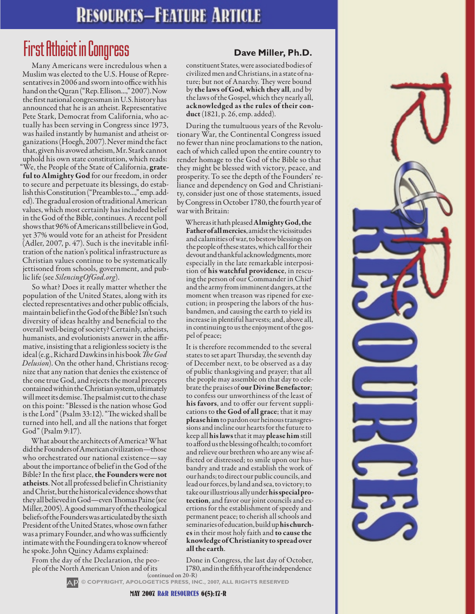# **RESOURCES-FEATURE ARTICLE**

# First Atheist in Congress **Dave Miller, Ph.D.**

Many Americans were incredulous when a Muslim was elected to the U.S. House of Representatives in 2006 and sworn into office with his hand on the Quran ("Rep. Ellison...," 2007). Now the first national congressman in U.S. history has announced that he is an atheist. Representative Pete Stark, Democrat from California, who actually has been serving in Congress since 1973, was hailed instantly by humanist and atheist organizations (Hoegh, 2007). Never mind the fact that, given his avowed atheism, Mr. Stark cannot uphold his own state constitution, which reads: "We, the People of the State of California, grateful to Almighty God for our freedom, in order to secure and perpetuate its blessings, do establish this Constitution ("Preambles to...," emp. added). The gradual erosion of traditional American values, which most certainly has included belief in the God of the Bible, continues. A recent poll shows that 96% of Americans still believe in God, yet 37% would vote for an atheist for President (Adler, 2007, p. 47). Such is the inevitable infiltration of the nation's political infrastructure as Christian values continue to be systematically jettisoned from schools, government, and public life (see *SilencingOfGod.org*).

So what? Does it really matter whether the population of the United States, along with its elected representatives and other public officials, maintain belief in the God of the Bible? Isn't such diversity of ideas healthy and beneficial to the overall well-being of society? Certainly, atheists, humanists, and evolutionists answer in the affirmative, insisting that a religionless society is the ideal (e.g., Richard Dawkins in his book *The God Delusion*). On the other hand, Christians recognize that any nation that denies the existence of the one true God, and rejects the moral precepts contained within the Christian system, ultimately will meet its demise. The psalmist cut to the chase on this point: "Blessed is the nation whose God is the Lord" (Psalm 33:12). "The wicked shall be turned into hell, and all the nations that forget God" (Psalm 9:17).

What about the architects of America? What did the Founders of American civilization—those who orchestrated our national existence—say about the importance of belief in the God of the Bible? In the first place, the Founders were not atheists. Not all professed belief in Christianity and Christ, but the historical evidence shows that they all believed in God—even Thomas Paine (see Miller, 2005). A good summary of the theological beliefs of the Founders was articulated by the sixth President of the United States, whose own father was a primary Founder, and who was sufficiently intimate with the Founding era to know whereof he spoke. John Quincy Adams explained:

From the day of the Declaration, the people of the North American Union and of its

constituent States, were associated bodies of civilized men and Christians, in a state of nature; but not of Anarchy. They were bound by the laws of God, which they all, and by the laws of the Gospel, which they nearly all, acknowledged as the rules of their conduct (1821, p. 26, emp. added).

During the tumultuous years of the Revolutionary War, the Continental Congress issued no fewer than nine proclamations to the nation, each of which called upon the entire country to render homage to the God of the Bible so that they might be blessed with victory, peace, and prosperity. To see the depth of the Founders' reliance and dependency on God and Christianity, consider just one of those statements, issued by Congress in October 1780, the fourth year of war with Britain:

Whereas it hath pleased Almighty God, the Father of all mercies, amidst the vicissitudes and calamities of war, to bestow blessings on the people of these states, which call for their devout and thankful acknowledgments, more especially in the late remarkable interposition of his watchful providence, in rescuing the person of our Commander in Chief and the army from imminent dangers, at the moment when treason was ripened for execution; in prospering the labors of the husbandmen, and causing the earth to yield its increase in plentiful harvests; and, above all, in continuing to us the enjoyment of the gospel of peace;

It is therefore recommended to the several states to set apart Thursday, the seventh day of December next, to be observed as a day of public thanksgiving and prayer; that all the people may assemble on that day to celebrate the praises of our Divine Benefactor; to confess our unworthiness of the least of his favors, and to offer our fervent supplications to the God of all grace; that it may please him to pardon our heinous transgressions and incline our hearts for the future to keep all his laws that it may please him still to afford us the blessing of health; to comfort and relieve our brethren who are any wise afflicted or distressed; to smile upon our husbandry and trade and establish the work of our hands; to direct our public councils, and lead our forces, by land and sea, to victory; to take our illustrious ally under his special protection, and favor our joint councils and exertions for the establishment of speedy and permanent peace; to cherish all schools and seminaries of education, build up his churches in their most holy faith and to cause the knowledge of Christianity to spread over all the earth.

(continued on 20-R) Done in Congress, the last day of October, 1780, and in the fifth year of the independence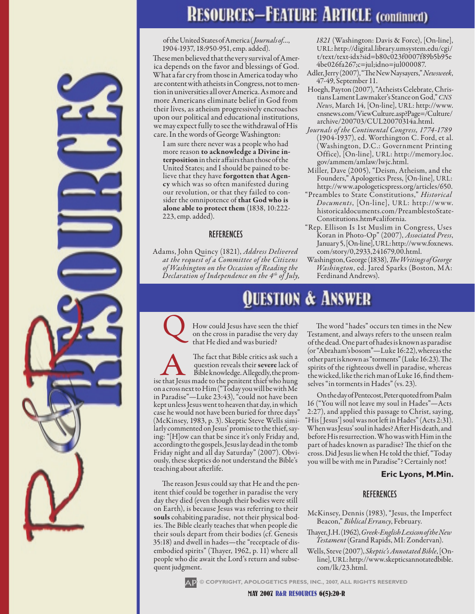# **RESOURCES-FEATURE ARTICLE (continued)**

of the United States of America (*Journals of…*, 1904-1937, 18:950-951, emp. added).

These men believed that the very survival of America depends on the favor and blessings of God. What a far cry from those in America today who are content with atheists in Congress, not to mention in universities all over America. As more and more Americans eliminate belief in God from their lives, as atheism progressively encroaches upon our political and educational institutions, we may expect fully to see the withdrawal of His care. In the words of George Washington:

I am sure there never was a people who had more reason to acknowledge a Divine interposition in their affairs than those of the United States; and I should be pained to believe that they have forgotten that Agency which was so often manifested during our revolution, or that they failed to consider the omnipotence of that God who is alone able to protect them (1838, 10:222- 223, emp. added).

### **REFERENCES**

Adams, John Quincy (1821), *Address Delivered at the request of a Committee of the Citizens of Washington on the Occasion of Reading the Declaration of Independence on the 4th of July,* 

# uestion & Answer

Q How could Jesus have seen the thief on the cross in paradise the very day that He died and was buried?

The fact that Bible critics ask such a question reveals their **severe** lack of Bible knowledge. Allegedly, the promise that Jesus made to the penitent thief who hung question reveals their severe lack of Bible knowledge. Allegedly, the promon a cross next to Him ("Today you will be with Me in Paradise"—Luke 23:43), "could not have been kept unless Jesus went to heaven that day, in which case he would not have been buried for three days" (McKinsey, 1983, p. 3). Skeptic Steve Wells similarly commented on Jesus' promise to the thief, saying: "[H]ow can that be since it's only Friday and, according to the gospels, Jesus lay dead in the tomb Friday night and all day Saturday" (2007). Obviously, these skeptics do not understand the Bible's teaching about afterlife.

The reason Jesus could say that He and the penitent thief could be together in paradise the very day they died (even though their bodies were still on Earth), is because Jesus was referring to their souls cohabiting paradise, not their physical bodies. The Bible clearly teaches that when people die their souls depart from their bodies (cf. Genesis 35:18) and dwell in hades—the "receptacle of disembodied spirits" (Thayer, 1962, p. 11) where all people who die await the Lord's return and subsequent judgment.

*1821* (Washington: Davis & Force), [On-line], URL: http://digital.library.umsystem.edu/cgi/ t/text/text-idx?sid=b80c023f0007f89b5b95e 4be026fa267;c=jul;idno=jul000087.

- Adler, Jerry (2007), "The New Naysayers," *Newsweek*, 47-49, September 11.
- Hoegh, Payton (2007), "Atheists Celebrate, Christians Lament Lawmaker's Stance on God," *CNS News*, March 14, [On-line], URL: http://www. cnsnews.com/ViewCulture.asp?Page=/Culture/ archive/200703/CUL20070314a.html.
- *Journals of the Continental Congress, 1774-1789* (1904-1937), ed. Worthington C. Ford, et al. (Washington, D.C.: Government Printing Office), [On-line], URL: http://memory.loc. gov/ammem/amlaw/lwjc.html.
- Miller, Dave (2005), "Deism, Atheism, and the Founders," Apologetics Press, [On-line], URL: http://www.apologeticspress.org/articles/650.
- "Preambles to State Constitutions," *Historical Documents*, [On-line], UR L: http://www. historicaldocuments.com/PreamblestoState-Constitutions.htm#california.
- "Rep. Ellison Is 1st Muslim in Congress, Uses Koran in Photo-Op" (2007), *Associated Press*, January 5, [On-line], URL: http://www.foxnews. com/story/0,2933,241679,00.html.
- Washington, George (1838), *The Writings of George Washington*, ed. Jared Sparks (Boston, MA: Ferdinand Andrews).

The word "hades" occurs ten times in the New Testament, and always refers to the unseen realm of the dead. One part of hades is known as paradise (or "Abraham's bosom"—Luke 16:22), whereas the other part is known as "torments" (Luke 16:23). The spirits of the righteous dwell in paradise, whereas the wicked, like the rich man of Luke 16, find themselves "in torments in Hades" (vs. 23).

On the day of Pentecost, Peter quoted from Psalm 16 ("You will not leave my soul in Hades"—Acts 2:27), and applied this passage to Christ, saying, "His [Jesus'] soul was not left in Hades" (Acts 2:31). When was Jesus' soul in hades? After His death, and before His resurrection. Who was with Him in the part of hades known as paradise? The thief on the cross. Did Jesus lie when He told the thief, "Today you will be with me in Paradise"? Certainly not!

### **Eric Lyons, M.Min.**

### **REFERENCES**

- McKinsey, Dennis (1983), "Jesus, the Imperfect Beacon," *Biblical Errancy*, February.
- Thayer, J.H. (1962), *Greek-English Lexicon of the New Testament* (Grand Rapids, MI: Zondervan).

Wells, Steve (2007), *Skeptic's Annotated Bible*, [Online], URL: http://www.skepticsannotatedbible. com/lk/23.html.

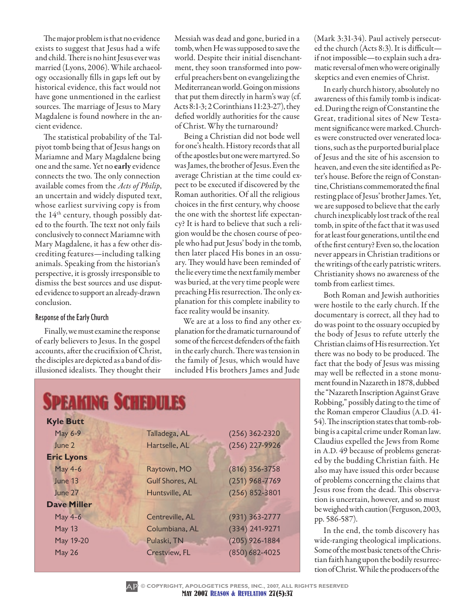The major problem is that no evidence exists to suggest that Jesus had a wife and child. There is no hint Jesus ever was married (Lyons, 2006). While archaeology occasionally fills in gaps left out by historical evidence, this fact would not have gone unmentioned in the earliest sources. The marriage of Jesus to Mary Magdalene is found nowhere in the ancient evidence.

The statistical probability of the Talpiyot tomb being that of Jesus hangs on Mariamne and Mary Magdalene being one and the same. Yet no early evidence connects the two. The only connection available comes from the *Acts of Philip*, an uncertain and widely disputed text, whose earliest surviving copy is from the  $14<sup>th</sup>$  century, though possibly dated to the fourth. The text not only fails conclusively to connect Mariamne with Mary Magdalene, it has a few other discrediting features—including talking animals. Speaking from the historian's perspective, it is grossly irresponsible to dismiss the best sources and use disputed evidence to support an already-drawn conclusion.

### Response of the Early Church

Finally, we must examine the response of early believers to Jesus. In the gospel accounts, after the crucifixion of Christ, the disciples are depicted as a band of disillusioned idealists. They thought their

Messiah was dead and gone, buried in a tomb, when He was supposed to save the world. Despite their initial disenchantment, they soon transformed into powerful preachers bent on evangelizing the Mediterranean world. Going on missions that put them directly in harm's way (cf. Acts 8:1-3; 2 Corinthians 11:23-27), they defied worldly authorities for the cause of Christ. Why the turnaround?

Being a Christian did not bode well for one's health. History records that all of the apostles but one were martyred. So was James, the brother of Jesus. Even the average Christian at the time could expect to be executed if discovered by the Roman authorities. Of all the religious choices in the first century, why choose the one with the shortest life expectancy? It is hard to believe that such a religion would be the chosen course of people who had put Jesus' body in the tomb, then later placed His bones in an ossuary. They would have been reminded of the lie every time the next family member was buried, at the very time people were preaching His resurrection. The only explanation for this complete inability to face reality would be insanity.

We are at a loss to find any other explanation for the dramatic turnaround of some of the fiercest defenders of the faith in the early church. There was tension in the family of Jesus, which would have included His brothers James and Jude

|                    | <b>SPEAKING SCHEDULES</b> |                    |
|--------------------|---------------------------|--------------------|
| <b>Kyle Butt</b>   |                           |                    |
| May 6-9            | Talladega, AL             | $(256)$ 362-2320   |
| June 2             | Hartselle, AL             | (256) 227-9926     |
| <b>Eric Lyons</b>  |                           |                    |
| May 4-6            | Raytown, MO               | $(816)$ 356-3758   |
| June 13            | <b>Gulf Shores, AL</b>    | $(251)$ 968-7769   |
| June 27            | Huntsville, AL            | $(256) 852 - 3801$ |
| <b>Dave Miller</b> |                           |                    |
| May 4-6            | Centreville, AL           | (931) 363-2777     |
| May 13             | Columbiana, AL            | (334) 241-9271     |
| May 19-20          | Pulaski, TN               | $(205)$ 926-1884   |
| May 26             | Crestview, FL             | $(850) 682 - 4025$ |

(Mark 3:31-34). Paul actively persecuted the church (Acts 8:3). It is difficult if not impossible—to explain such a dramatic reversal of men who were originally skeptics and even enemies of Christ.

In early church history, absolutely no awareness of this family tomb is indicated. During the reign of Constantine the Great, traditional sites of New Testament significance were marked. Churches were constructed over venerated locations, such as the purported burial place of Jesus and the site of his ascension to heaven, and even the site identified as Peter's house. Before the reign of Constantine, Christians commemorated the final resting place of Jesus' brother James. Yet, we are supposed to believe that the early church inexplicably lost track of the real tomb, in spite of the fact that it was used for at least four generations, until the end of the first century? Even so, the location never appears in Christian traditions or the writings of the early patristic writers. Christianity shows no awareness of the tomb from earliest times.

Both Roman and Jewish authorities were hostile to the early church. If the documentary is correct, all they had to do was point to the ossuary occupied by the body of Jesus to refute utterly the Christian claims of His resurrection. Yet there was no body to be produced. The fact that the body of Jesus was missing may well be reflected in a stone monument found in Nazareth in 1878, dubbed the "Nazareth Inscription Against Grave Robbing," possibly dating to the time of the Roman emperor Claudius (A.D. 41- 54). The inscription states that tomb-robbing is a capital crime under Roman law. Claudius expelled the Jews from Rome in A.D. 49 because of problems generated by the budding Christian faith. He also may have issued this order because of problems concerning the claims that Jesus rose from the dead. This observation is uncertain, however, and so must be weighed with caution (Ferguson, 2003, pp. 586-587).

In the end, the tomb discovery has wide-ranging theological implications. Some of the most basic tenets of the Christian faith hang upon the bodily resurrection of Christ. While the producers of the

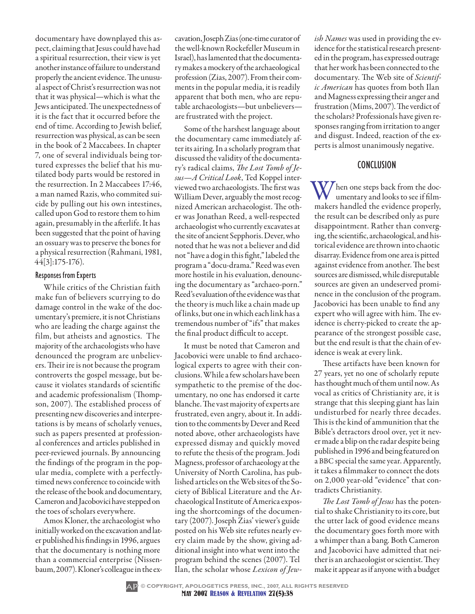documentary have downplayed this aspect, claiming that Jesus could have had a spiritual resurrection, their view is yet another instance of failure to understand properly the ancient evidence. The unusual aspect of Christ's resurrection was not that it was physical—which is what the Jews anticipated. The unexpectedness of it is the fact that it occurred before the end of time. According to Jewish belief, resurrection was physical, as can be seen in the book of 2 Maccabees. In chapter 7, one of several individuals being tortured expresses the belief that his mutilated body parts would be restored in the resurrection. In 2 Maccabees 17:46, a man named Razis, who commited suicide by pulling out his own intestines, called upon God to restore them to him again, presumably in the afterlife. It has been suggested that the point of having an ossuary was to preserve the bones for a physical resurrection (Rahmani, 1981, 44[3]:175-176).

### Responses from Experts

While critics of the Christian faith make fun of believers scurrying to do damage control in the wake of the documentary's premiere, it is not Christians who are leading the charge against the film, but atheists and agnostics. The majority of the archaeologists who have denounced the program are unbelievers. Their ire is not because the program controverts the gospel message, but because it violates standards of scientific and academic professionalism (Thompson, 2007). The established process of presenting new discoveries and interpretations is by means of scholarly venues, such as papers presented at professional conferences and articles published in peer-reviewed journals. By announcing the findings of the program in the popular media, complete with a perfectlytimed news conference to coincide with the release of the book and documentary, Cameron and Jacobovici have stepped on the toes of scholars everywhere.

Amos Kloner, the archaeologist who initially worked on the excavation and later published his findings in 1996, argues that the documentary is nothing more than a commercial enterprise (Nissenbaum, 2007). Kloner's colleague in the excavation, Joseph Zias (one-time curator of the well-known Rockefeller Museum in Israel), has lamented that the documentary makes a mockery of the archaeological profession (Zias, 2007). From their comments in the popular media, it is readily apparent that both men, who are reputable archaeologists—but unbelievers are frustrated with the project.

Some of the harshest language about the documentary came immediately after its airing. In a scholarly program that discussed the validity of the documentary's radical claims, *The Lost Tomb of Jesus—A Critical Look*, Ted Koppel interviewed two archaeologists. The first was William Dever, arguably the most recognized American archaeologist. The other was Jonathan Reed, a well-respected archaeologist who currently excavates at the site of ancient Sepphoris. Dever, who noted that he was not a believer and did not "have a dog in this fight," labeled the program a "docu-drama." Reed was even more hostile in his evaluation, denouncing the documentary as "archaeo-porn." Reed's evaluation of the evidence was that the theory is much like a chain made up of links, but one in which each link has a tremendous number of "ifs" that makes the final product difficult to accept.

It must be noted that Cameron and Jacobovici were unable to find archaeological experts to agree with their conclusions. While a few scholars have been sympathetic to the premise of the documentary, no one has endorsed it carte blanche. The vast majority of experts are frustrated, even angry, about it. In addition to the comments by Dever and Reed noted above, other archaeologists have expressed dismay and quickly moved to refute the thesis of the program. Jodi Magness, professor of archaeology at the University of North Carolina, has published articles on the Web sites of the Society of Biblical Literature and the Archaeological Institute of America exposing the shortcomings of the documentary (2007). Joseph Zias' viewer's guide posted on his Web site refutes nearly every claim made by the show, giving additional insight into what went into the program behind the scenes (2007). Tel Ilan, the scholar whose *Lexicon of Jew-* *ish Names* was used in providing the evidence for the statistical research presented in the program, has expressed outrage that her work has been connected to the documentary. The Web site of *Scientific American* has quotes from both Ilan and Magness expressing their anger and frustration (Mims, 2007). The verdict of the scholars? Professionals have given responses ranging from irritation to anger and disgust. Indeed, reaction of the experts is almost unanimously negative.

### CONCLUSION

When one steps back from the documentary and looks to see if filmmakers handled the evidence properly, the result can be described only as pure disappointment. Rather than converging, the scientific, archaeological, and historical evidence are thrown into chaotic disarray. Evidence from one area is pitted against evidence from another. The best sources are dismissed, while disreputable sources are given an undeserved prominence in the conclusion of the program. Jacobovici has been unable to find any expert who will agree with him. The evidence is cherry-picked to create the appearance of the strongest possible case, but the end result is that the chain of evidence is weak at every link.

These artifacts have been known for 27 years, yet no one of scholarly repute has thought much of them until now. As vocal as critics of Christianity are, it is strange that this sleeping giant has lain undisturbed for nearly three decades. This is the kind of ammunition that the Bible's detractors drool over, yet it never made a blip on the radar despite being published in 1996 and being featured on a BBC special the same year. Apparently, it takes a filmmaker to connect the dots on 2,000 year-old "evidence" that contradicts Christianity.

*The Lost Tomb of Jesus* has the potential to shake Christianity to its core, but the utter lack of good evidence means the documentary goes forth more with a whimper than a bang. Both Cameron and Jacobovici have admitted that neither is an archaeologist or scientist. They make it appear as if anyone with a budget

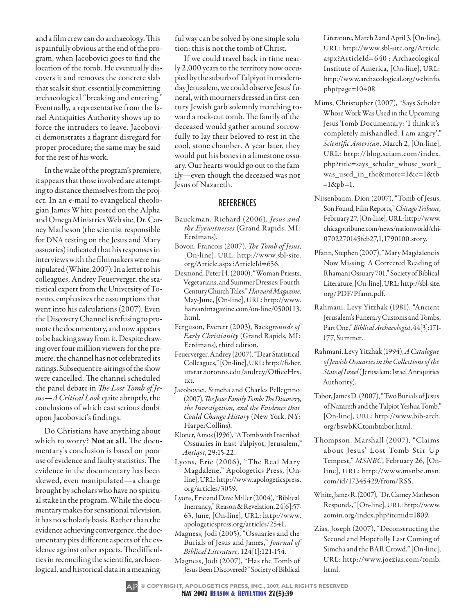and a film crew can do archaeology. This is painfully obvious at the end of the program, when Jacobovici goes to find the location of the tomb. He eventually discovers it and removes the concrete slab that seals it shut, essentially committing archaeological "breaking and entering." Eventually, a representative from the Israel Antiquities Authority shows up to force the intruders to leave. Jacobovici demonstrates a flagrant disregard for proper procedure; the same may be said for the rest of his work.

In the wake of the program's premiere, it appears that those involved are attempting to distance themselves from the project. In an e-mail to evangelical theologian James White posted on the Alpha and Omega Ministries Web site, Dr. Carney Matheson (the scientist responsible for DNA testing on the Jesus and Mary ossuaries) indicated that his responses in interviews with the filmmakers were manipulated (White, 2007). In a letter to his colleagues, Andrey Feuerverger, the statistical expert from the University of Toronto, emphasizes the assumptions that went into his calculations (2007). Even the Discovery Channel is refusing to promote the documentary, and now appears to be backing away from it. Despite drawing over four million viewers for the premiere, the channel has not celebrated its ratings. Subsequent re-airings of the show were cancelled. The channel scheduled the panel debate in *The Lost Tomb of Jesus—A Critical Look* quite abruptly, the conclusions of which cast serious doubt upon Jacobovici's findings.

Do Christians have anything about which to worry? **Not at all.** The documentary's conclusion is based on poor use of evidence and faulty statistics. The evidence in the documentary has been skewed, even manipulated—a charge brought by scholars who have no spiritual stake in the program. While the documentary makes for sensational television, it has no scholarly basis. Rather than the evidence achieving convergence, the documentary pits different aspects of the evidence against other aspects. The difficulties in reconciling the scientific, archaeological, and historical data in a meaningful way can be solved by one simple solution: this is not the tomb of Christ.

If we could travel back in time nearly 2,000 years to the territory now occupied by the suburb of Talpiyot in modernday Jerusalem, we could observe Jesus' funeral, with mourners dressed in first-century Jewish garb solemnly marching toward a rock-cut tomb. The family of the deceased would gather around sorrowfully to lay their beloved to rest in the cool, stone chamber. A year later, they would put his bones in a limestone ossuary. Our hearts would go out to the family—even though the deceased was not Jesus of Nazareth.

### **REFERENCES**

- Bauckman, Richard (2006), *Jesus and the Eyewitnesses* (Grand Rapids, MI: Eerdmans).
- Bovon, Francois (2007), *The Tomb of Jesus*, [On-line], URL: http://www.sbl-site. org/Article.aspx?ArticleId=656.
- Desmond, Peter H. (2000), "Woman Priests, Vegetarians, and Summer Dresses: Fourth Century Church Tales," *Harvard Magazine*, May-June, [On-line], URL: http://www. harvardmagazine.com/on-line/0500113. html.
- Ferguson, Everett (2003), Backg*rounds of Early Christianity* (Grand Rapids, MI: Eerdmans), third edition.
- Feuerverger, Andrey (2007), "Dear Statistical Colleagues," [On-line], URL: http://fisher. utstat.toronto.edu/andrey/OfficeHrs. txt.
- Jacobovici, Simcha and Charles Pellegrino (2007), *The Jesus Family Tomb: The Discovery, the Investigation, and the Evidence that Could Change History* (New York, NY: HarperCollins).
- Kloner, Amos (1996), "A Tomb with Inscribed Ossuaries in East Talpiyot, Jerusalem," *Antiqot*, 29:15-22.
- Lyons, Eric (2006), "The Real Mary Magdalene," Apologetics Press, [Online], URL: http://www.apologeticspress. org/articles/3059.
- Lyons, Eric and Dave Miller (2004), "Biblical Inerrancy," Reason & Revelation, 24[6]:57- 63, June, [On-line], URL: http://www. apologeticspress.org/articles/2541.
- Magness, Jodi (2005), "Ossuaries and the Burials of Jesus and James," *Journal of Biblical Literature*, 124[1]:121-154.
- Magness, Jodi (2007), "Has the Tomb of Jesus Been Discovered?" Society of Biblical

Literature, March 2 and April 3, [On-line], URL: http://www.sbl-site.org/Article. aspx?ArticleId=640 ; Archaeological Institute of America, [On-line], URL: http://www.archaeological.org/webinfo. php?page=10408.

- Mims, Christopher (2007), "Says Scholar Whose Work Was Used in the Upcoming Jesus Tomb Documentary: 'I think it's completely mishandled. I am angry'," *Scientific American*, March 2, [On-line], URL: http://blog.sciam.com/index. php?title=says\_scholar\_whose\_work\_ was\_used\_in\_the&more=1&c=1&tb  $=1$ &pb=1.
- Nissenbaum, Dion (2007), "Tomb of Jesus, Son Found, Film Reports," *Chicago Tribune*, February 27, [On-line], URL: http://www. chicagotribune.com/news/nationworld/chi-0702270145feb27,1,1790100.story.
- Pfann, Stephen (2007), "Mary Magdalene is Now Missing: A Corrected Reading of Rhamani Ossuary 701," Society of Biblical Literature, [On-line], URL: http://sbl-site. org/PDF/Pfann.pdf.
- Rahmani, Levy Yitzhak (1981), "Ancient Jerusalem's Funerary Customs and Tombs, Part One," *Biblical Archaeologist*, 44[3]:171- 177, Summer.
- Rahmani, Levy Yitzhak (1994), *A Catalogue of Jewish Ossuaries in the Collections of the State of Israel* (Jerusalem: Israel Antiquities Authority).
- Tabor, James D. (2007), "Two Burials of Jesus of Nazareth and the Talpiot Yeshua Tomb," [On-line], URL: http://www.bib-arch. org/bswbKCtombtabor.html.
- Thompson, Marshall (2007), "Claims about Jesus' Lost Tomb Stir Up Tempest," *MSNBC*, February 26, [Online], URL: http://www.msnbc.msn. com/id/17345429/from/RSS.
- White, James R. (2007), "Dr. Carney Matheson Responds," [On-line], URL: http://www. aomin.org/index.php?itemid=1809.
- Zias, Joseph (2007), "Deconstructing the Second and Hopefully Last Coming of Simcha and the BAR Crowd," [On-line], URL: http://www.joezias.com/tomb. html.